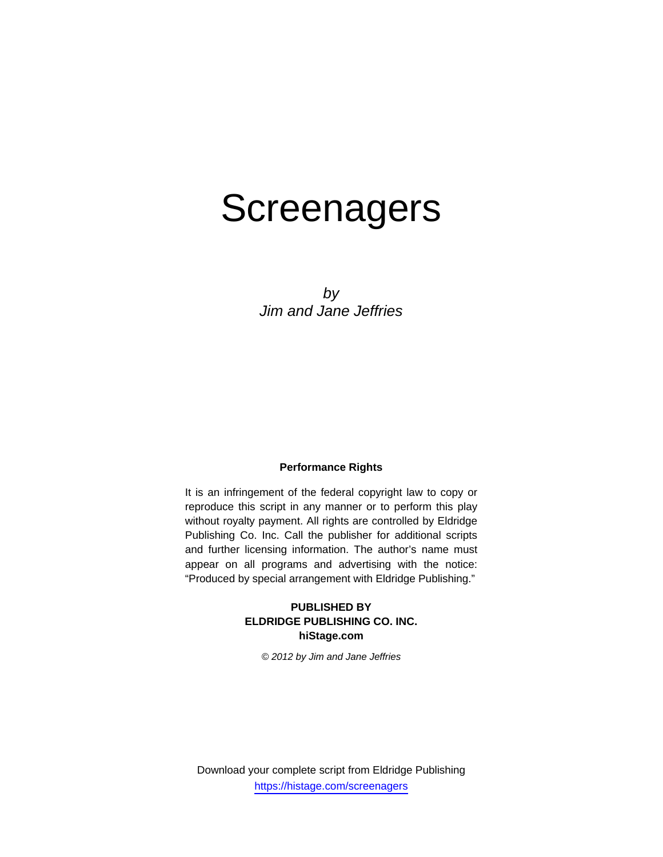# **Screenagers**

*by Jim and Jane Jeffries* 

# **Performance Rights**

It is an infringement of the federal copyright law to copy or reproduce this script in any manner or to perform this play without royalty payment. All rights are controlled by Eldridge Publishing Co. Inc. Call the publisher for additional scripts and further licensing information. The author's name must appear on all programs and advertising with the notice: "Produced by special arrangement with Eldridge Publishing."

# **PUBLISHED BY ELDRIDGE PUBLISHING CO. INC. hiStage.com**

*© 2012 by Jim and Jane Jeffries*

Download your complete script from Eldridge Publishing https://histage.com/screenagers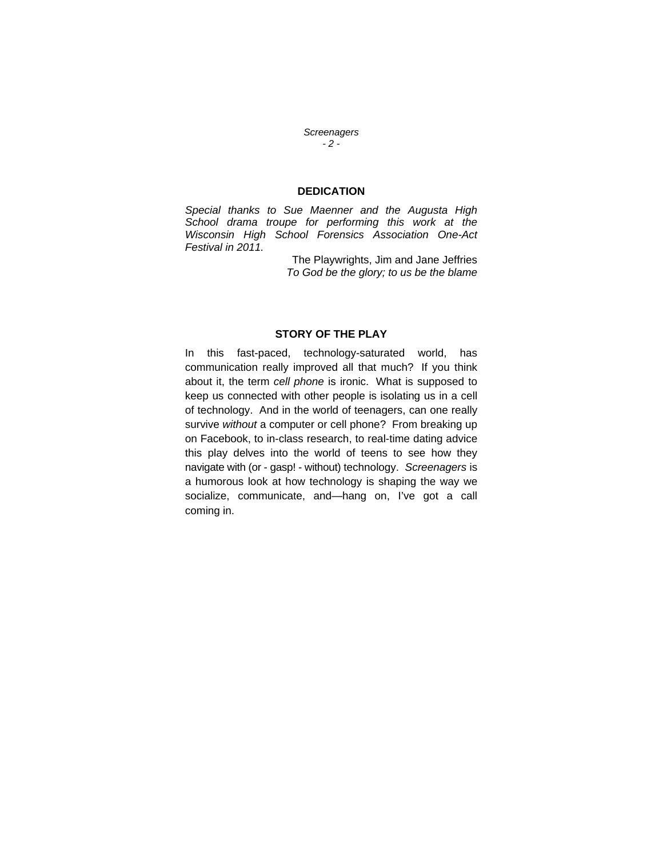*Screenagers - 2 -* 

## **DEDICATION**

*Special thanks to Sue Maenner and the Augusta High School drama troupe for performing this work at the Wisconsin High School Forensics Association One-Act Festival in 2011.* 

> The Playwrights, Jim and Jane Jeffries *To God be the glory; to us be the blame*

## **STORY OF THE PLAY**

In this fast-paced, technology-saturated world, has communication really improved all that much? If you think about it, the term *cell phone* is ironic. What is supposed to keep us connected with other people is isolating us in a cell of technology. And in the world of teenagers, can one really survive *without* a computer or cell phone? From breaking up on Facebook, to in-class research, to real-time dating advice this play delves into the world of teens to see how they navigate with (or - gasp! - without) technology. *Screenagers* is a humorous look at how technology is shaping the way we socialize, communicate, and—hang on, I've got a call coming in.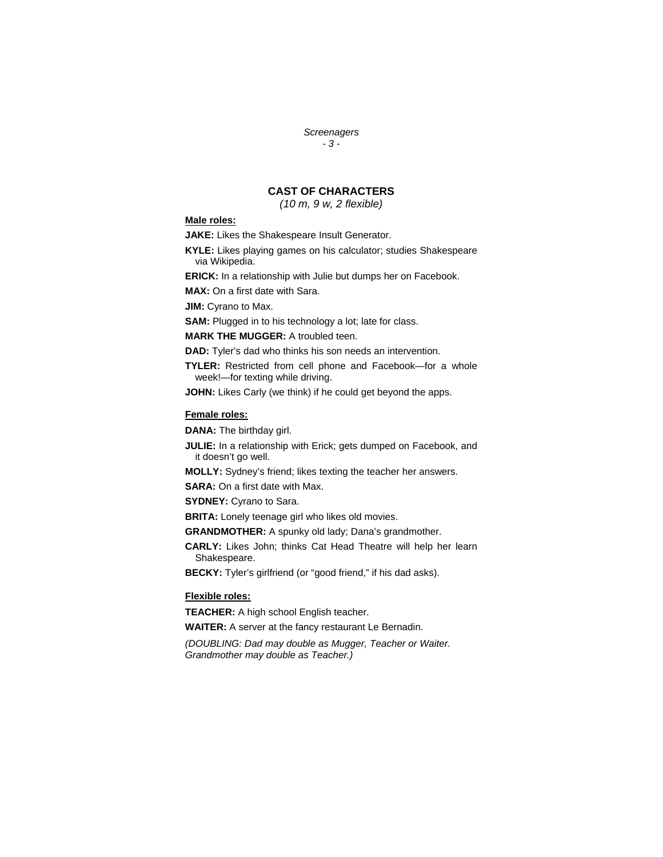*Screenagers - 3 -* 

# **CAST OF CHARACTERS**

*(10 m, 9 w, 2 flexible)* 

## **Male roles:**

**JAKE:** Likes the Shakespeare Insult Generator.

**KYLE:** Likes playing games on his calculator; studies Shakespeare via Wikipedia.

**ERICK:** In a relationship with Julie but dumps her on Facebook.

**MAX:** On a first date with Sara.

**JIM:** Cyrano to Max.

**SAM:** Plugged in to his technology a lot; late for class.

#### **MARK THE MUGGER:** A troubled teen.

**DAD:** Tyler's dad who thinks his son needs an intervention.

**TYLER:** Restricted from cell phone and Facebook—for a whole week!—for texting while driving.

**JOHN:** Likes Carly (we think) if he could get beyond the apps.

## **Female roles:**

**DANA:** The birthday girl.

**JULIE:** In a relationship with Erick; gets dumped on Facebook, and it doesn't go well.

**MOLLY:** Sydney's friend; likes texting the teacher her answers.

**SARA:** On a first date with Max.

**SYDNEY:** Cyrano to Sara.

**BRITA:** Lonely teenage girl who likes old movies.

**GRANDMOTHER:** A spunky old lady; Dana's grandmother.

**CARLY:** Likes John; thinks Cat Head Theatre will help her learn Shakespeare.

**BECKY:** Tyler's girlfriend (or "good friend," if his dad asks).

#### **Flexible roles:**

**TEACHER:** A high school English teacher.

**WAITER:** A server at the fancy restaurant Le Bernadin.

*(DOUBLING: Dad may double as Mugger, Teacher or Waiter. Grandmother may double as Teacher.)*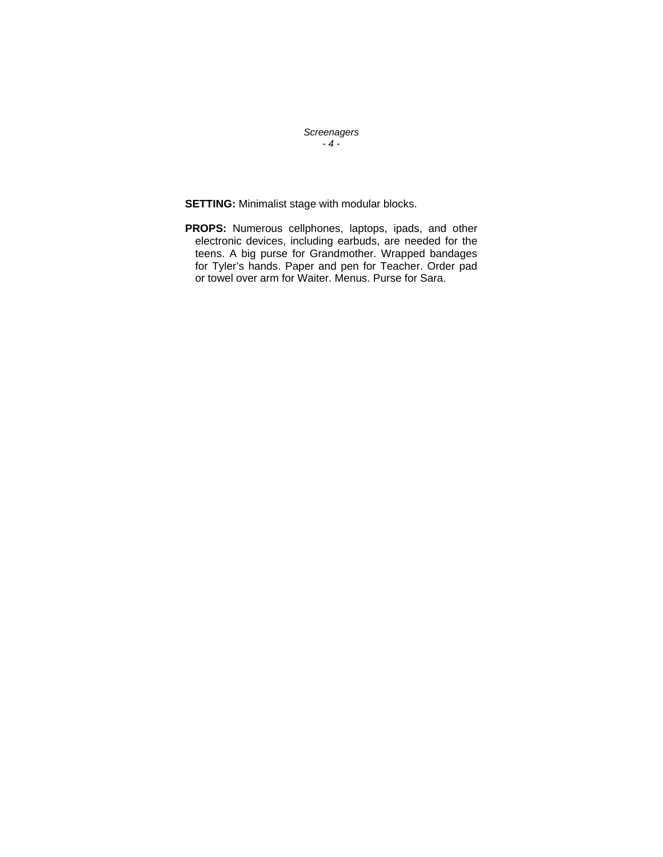*Screenagers - 4 -* 

**SETTING:** Minimalist stage with modular blocks.

**PROPS:** Numerous cellphones, laptops, ipads, and other electronic devices, including earbuds, are needed for the teens. A big purse for Grandmother. Wrapped bandages for Tyler's hands. Paper and pen for Teacher. Order pad or towel over arm for Waiter. Menus. Purse for Sara.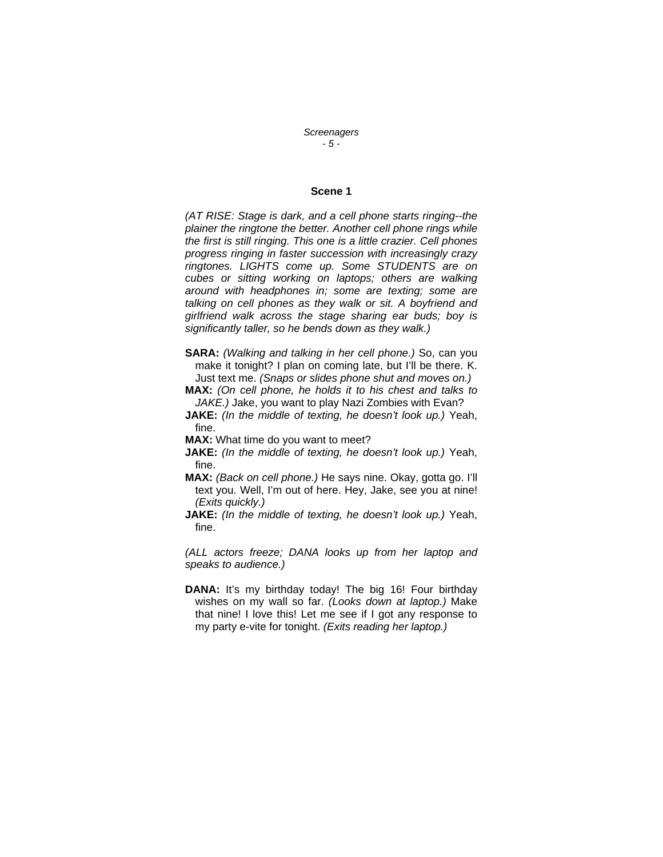*Screenagers - 5 -* 

## **Scene 1**

*(AT RISE: Stage is dark, and a cell phone starts ringing--the plainer the ringtone the better. Another cell phone rings while the first is still ringing. This one is a little crazier. Cell phones progress ringing in faster succession with increasingly crazy ringtones. LIGHTS come up. Some STUDENTS are on cubes or sitting working on laptops; others are walking around with headphones in; some are texting; some are talking on cell phones as they walk or sit. A boyfriend and girlfriend walk across the stage sharing ear buds; boy is significantly taller, so he bends down as they walk.)* 

**SARA:** *(Walking and talking in her cell phone.)* So, can you make it tonight? I plan on coming late, but I'll be there. K. Just text me. *(Snaps or slides phone shut and moves on.)* 

**MAX:** *(On cell phone, he holds it to his chest and talks to JAKE.)* Jake, you want to play Nazi Zombies with Evan?

**JAKE:** *(In the middle of texting, he doesn't look up.)* Yeah, fine.

**MAX:** What time do you want to meet?

- **JAKE:** *(In the middle of texting, he doesn't look up.)* Yeah, fine.
- **MAX:** *(Back on cell phone.)* He says nine. Okay, gotta go. I'll text you. Well, I'm out of here. Hey, Jake, see you at nine! *(Exits quickly.)*
- **JAKE:** *(In the middle of texting, he doesn't look up.)* Yeah, fine.

*(ALL actors freeze; DANA looks up from her laptop and speaks to audience.)* 

**DANA:** It's my birthday today! The big 16! Four birthday wishes on my wall so far. *(Looks down at laptop.)* Make that nine! I love this! Let me see if I got any response to my party e-vite for tonight. *(Exits reading her laptop.)*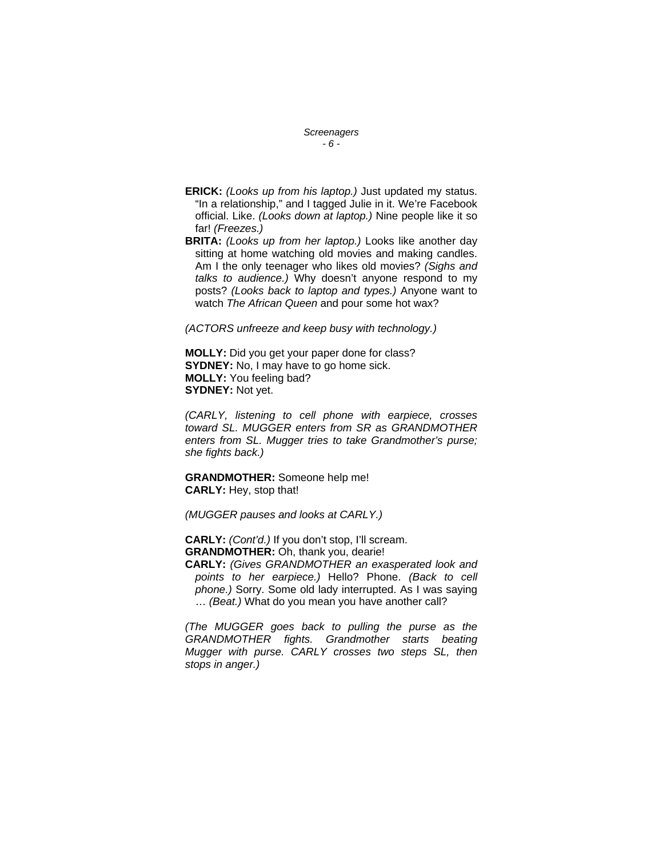*Screenagers - 6 -* 

- **ERICK:** *(Looks up from his laptop.)* Just updated my status. "In a relationship," and I tagged Julie in it. We're Facebook official. Like. *(Looks down at laptop.)* Nine people like it so far! *(Freezes.)*
- **BRITA:** *(Looks up from her laptop.)* Looks like another day sitting at home watching old movies and making candles. Am I the only teenager who likes old movies? *(Sighs and talks to audience.)* Why doesn't anyone respond to my posts? *(Looks back to laptop and types.)* Anyone want to watch *The African Queen* and pour some hot wax?

*(ACTORS unfreeze and keep busy with technology.)* 

**MOLLY:** Did you get your paper done for class? **SYDNEY:** No, I may have to go home sick. **MOLLY:** You feeling bad? **SYDNEY:** Not yet.

*(CARLY, listening to cell phone with earpiece, crosses toward SL. MUGGER enters from SR as GRANDMOTHER enters from SL. Mugger tries to take Grandmother's purse; she fights back.)* 

**GRANDMOTHER:** Someone help me! **CARLY:** Hey, stop that!

*(MUGGER pauses and looks at CARLY.)* 

**CARLY:** *(Cont'd.)* If you don't stop, I'll scream. **GRANDMOTHER:** Oh, thank you, dearie!

**CARLY:** *(Gives GRANDMOTHER an exasperated look and points to her earpiece.)* Hello? Phone. *(Back to cell phone.)* Sorry. Some old lady interrupted. As I was saying … *(Beat.)* What do you mean you have another call?

*(The MUGGER goes back to pulling the purse as the GRANDMOTHER fights. Grandmother starts beating Mugger with purse. CARLY crosses two steps SL, then stops in anger.)*